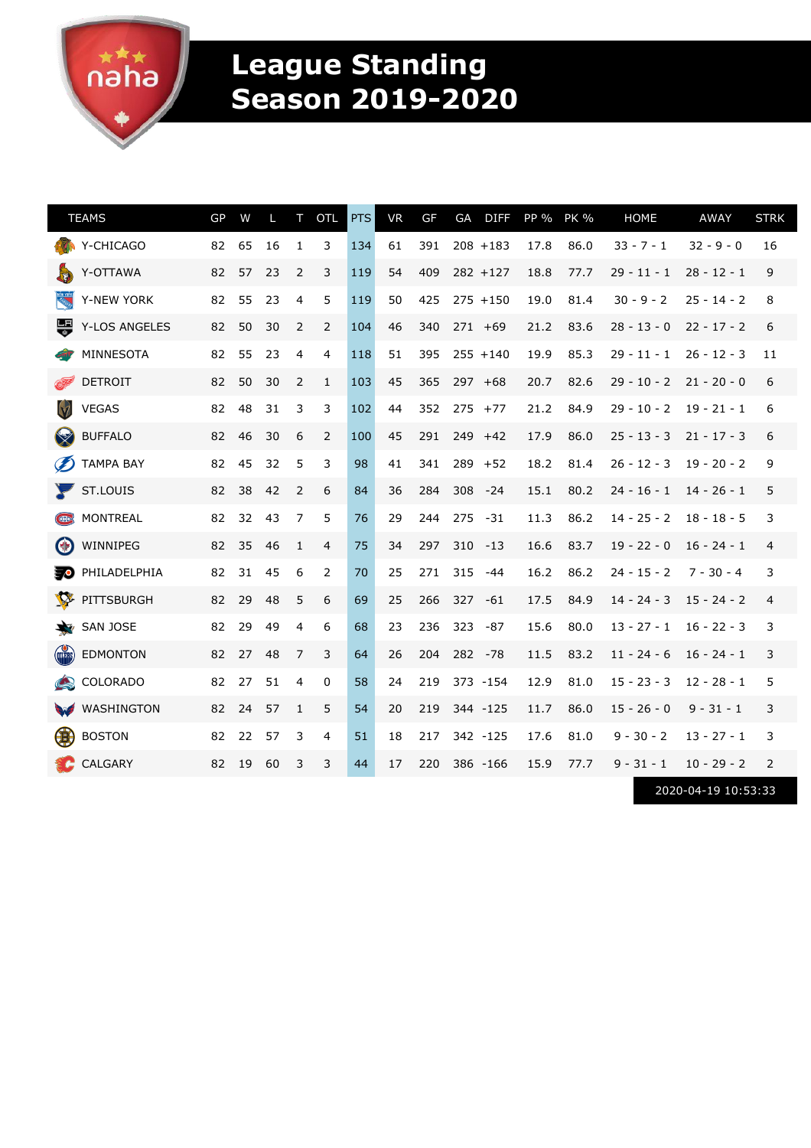a★★★

## **League Standing Season 2019-2020**

| <b>TEAMS</b>                                       | GP | W  | L  | т              | <b>OTL</b>   | <b>PTS</b> | <b>VR</b> | GF  | GA  | <b>DIFF</b> | PP % | <b>PK %</b> | <b>HOME</b>   | <b>AWAY</b>         | <b>STRK</b> |
|----------------------------------------------------|----|----|----|----------------|--------------|------------|-----------|-----|-----|-------------|------|-------------|---------------|---------------------|-------------|
| Y-CHICAGO                                          | 82 | 65 | 16 | 1              | 3            | 134        | 61        | 391 |     | $208 + 183$ | 17.8 | 86.0        | $33 - 7 - 1$  | $32 - 9 - 0$        | 16          |
| Y-OTTAWA<br>$\blacktriangleright$                  | 82 | 57 | 23 | 2              | 3            | 119        | 54        | 409 |     | $282 + 127$ | 18.8 | 77.7        | $29 - 11 - 1$ | 28 - 12 - 1         | 9           |
| <b>NEW YORK</b><br>Y-NEW YORK                      | 82 | 55 | 23 | 4              | 5            | 119        | 50        | 425 |     | $275 + 150$ | 19.0 | 81.4        | $30 - 9 - 2$  | $25 - 14 - 2$       | 8           |
| 导<br>Y-LOS ANGELES                                 | 82 | 50 | 30 | 2              | 2            | 104        | 46        | 340 |     | $271 + 69$  | 21.2 | 83.6        | $28 - 13 - 0$ | $22 - 17 - 2$       | 6           |
| MINNESOTA                                          | 82 | 55 | 23 | 4              | 4            | 118        | 51        | 395 |     | $255 + 140$ | 19.9 | 85.3        | $29 - 11 - 1$ | $26 - 12 - 3$       | 11          |
| <b>DETROIT</b><br>Æ                                | 82 | 50 | 30 | 2              | $\mathbf{1}$ | 103        | 45        | 365 |     | $297 + 68$  | 20.7 | 82.6        | $29 - 10 - 2$ | $21 - 20 - 0$       | 6           |
| $\lbrack \bigtriangledown \rbrack$<br><b>VEGAS</b> | 82 | 48 | 31 | 3              | 3            | 102        | 44        | 352 |     | $275 + 77$  | 21.2 | 84.9        | $29 - 10 - 2$ | $19 - 21 - 1$       | 6           |
| S<br><b>BUFFALO</b>                                | 82 | 46 | 30 | 6              | 2            | 100        | 45        | 291 |     | $249 + 42$  | 17.9 | 86.0        | $25 - 13 - 3$ | $21 - 17 - 3$       | 6           |
| Ø<br><b>TAMPA BAY</b>                              | 82 | 45 | 32 | 5              | 3            | 98         | 41        | 341 |     | $289 + 52$  | 18.2 | 81.4        | $26 - 12 - 3$ | $19 - 20 - 2$       | 9           |
| ST.LOUIS                                           | 82 | 38 | 42 | 2              | 6            | 84         | 36        | 284 | 308 | $-24$       | 15.1 | 80.2        | $24 - 16 - 1$ | $14 - 26 - 1$       | 5           |
| <b>MONTREAL</b><br>$($ GB $\triangleright$         | 82 | 32 | 43 | 7              | 5            | 76         | 29        | 244 | 275 | $-31$       | 11.3 | 86.2        | $14 - 25 - 2$ | $18 - 18 - 5$       | 3           |
| $\left( \frac{1}{2} \right)$<br>WINNIPEG           | 82 | 35 | 46 | 1              | 4            | 75         | 34        | 297 | 310 | $-13$       | 16.6 | 83.7        | $19 - 22 - 0$ | $16 - 24 - 1$       | 4           |
| PHILADELPHIA<br>50                                 | 82 | 31 | 45 | 6              | 2            | 70         | 25        | 271 | 315 | -44         | 16.2 | 86.2        | $24 - 15 - 2$ | $7 - 30 - 4$        | 3           |
| <b>PARTIES</b><br>PITTSBURGH                       | 82 | 29 | 48 | 5              | 6            | 69         | 25        | 266 | 327 | -61         | 17.5 | 84.9        | $14 - 24 - 3$ | $15 - 24 - 2$       | 4           |
| SAN JOSE<br>亳                                      | 82 | 29 | 49 | $\overline{4}$ | 6            | 68         | 23        | 236 | 323 | $-87$       | 15.6 | 80.0        | $13 - 27 - 1$ | $16 - 22 - 3$       | 3           |
| <b>COLLERS</b><br><b>EDMONTON</b>                  | 82 | 27 | 48 | 7              | 3            | 64         | 26        | 204 | 282 | -78         | 11.5 | 83.2        | $11 - 24 - 6$ | $16 - 24 - 1$       | 3           |
| <b>COLORADO</b><br>$\bigcirc$                      | 82 | 27 | 51 | 4              | 0            | 58         | 24        | 219 |     | 373 - 154   | 12.9 | 81.0        | $15 - 23 - 3$ | $12 - 28 - 1$       | 5           |
| WASHINGTON<br>W                                    | 82 | 24 | 57 | 1              | 5            | 54         | 20        | 219 |     | 344 -125    | 11.7 | 86.0        | $15 - 26 - 0$ | $9 - 31 - 1$        | 3           |
| 第<br><b>BOSTON</b>                                 | 82 | 22 | 57 | 3              | 4            | 51         | 18        | 217 |     | 342 -125    | 17.6 | 81.0        | $9 - 30 - 2$  | $13 - 27 - 1$       | 3           |
| CALGARY                                            | 82 | 19 | 60 | 3              | 3            | 44         | 17        | 220 |     | 386 -166    | 15.9 | 77.7        | $9 - 31 - 1$  | $10 - 29 - 2$       | 2           |
|                                                    |    |    |    |                |              |            |           |     |     |             |      |             |               | 2020-04-19 10:53:33 |             |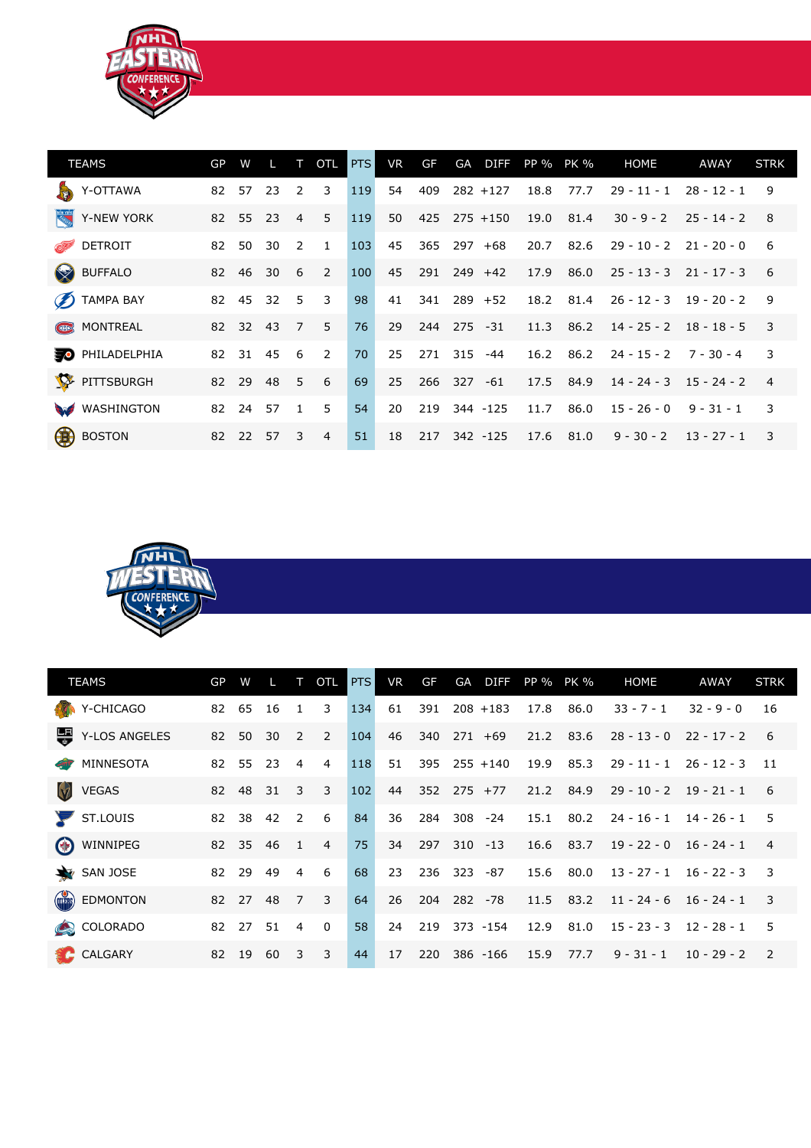

| <b>TEAMS</b>                           | GP | W        |    |                | <b>OTL</b>     | PTS | VR | GF  | GA          | <b>DIFF</b>   | PP % PK % |           | <b>HOME</b>                 | AWAY                       | <b>STRK</b>             |
|----------------------------------------|----|----------|----|----------------|----------------|-----|----|-----|-------------|---------------|-----------|-----------|-----------------------------|----------------------------|-------------------------|
| <b>READ</b><br>Y-OTTAWA                | 82 | 57       | 23 | $\mathcal{L}$  | 3              | 119 | 54 | 409 |             | $282 + 127$   | 18.8      | 77.7      | $29 - 11 - 1$               | $28 - 12 - 1$              | 9                       |
| NEW YORK<br>Y-NEW YORK                 |    | 82 55    | 23 | $\overline{4}$ | 5              | 119 | 50 |     |             | 425 275 +150  | 19.0      | 81.4      |                             | $30 - 9 - 2$ $25 - 14 - 2$ | 8                       |
| <b>DETROIT</b><br><b>RESERVE</b>       | 82 | 50       | 30 | $\overline{2}$ | $\overline{1}$ | 103 | 45 | 365 |             | $297 + 68$    | 20.7      | 82.6      | $29 - 10 - 2$ $21 - 20 - 0$ |                            |                         |
| <b>SERVICE STATE</b><br><b>BUFFALO</b> | 82 | 46       | 30 | - 6            | 2              | 100 | 45 | 291 |             | $249 + 42$    | 17.9      | 86.0      | $25 - 13 - 3$               | $21 - 17 - 3$              |                         |
| <b>D</b> TAMPA BAY                     |    | 82 45    | 32 | 5              | $\overline{3}$ | 98  | 41 |     |             | $341$ 289 +52 |           | 18.2 81.4 | $26 - 12 - 3$ 19 - 20 - 2   |                            | -9                      |
| <b>CB</b> MONTREAL                     |    | 82 32    | 43 | $\overline{7}$ | -5             | 76  | 29 | 244 | 275 -31     |               | 11.3      | 86.2      | $14 - 25 - 2$ $18 - 18 - 5$ |                            | $\overline{\mathbf{3}}$ |
| <b>D</b> PHILADELPHIA                  | 82 | 31       | 45 | - 6            | 2              | 70  | 25 |     | 271 315 -44 |               |           | 16.2 86.2 | $24 - 15 - 2$               | $7 - 30 - 4$               | 3                       |
| <b>A</b><br>PITTSBURGH                 |    | 82 29    | 48 | $-5$           | 6              | 69  | 25 | 266 |             | $327 - 61$    |           | 17.5 84.9 | $14 - 24 - 3$ $15 - 24 - 2$ |                            | $\overline{4}$          |
| WASHINGTON                             | 82 | 24       | 57 | $\overline{1}$ | 5              | 54  | 20 | 219 |             | 344 -125      | 11.7      | 86.0      | $15 - 26 - 0$               | $9 - 31 - 1$               | $\overline{3}$          |
| 48<br><b>BOSTON</b>                    |    | 82 22 57 |    | 3              | $\overline{4}$ | 51  | 18 |     |             | 217 342 -125  | 17.6      | 81.0      |                             | $9 - 30 - 2$ 13 - 27 - 1   | -3                      |



|              | <b>TEAMS</b>                   | GP | W     |      | $\top$                  | OTL            | <b>PTS</b> | <b>VR</b> | <b>GF</b>         | GA          |                | DIFF PP % PK % |           | <b>HOME</b>                 | AWAY          | <b>STRK</b>    |
|--------------|--------------------------------|----|-------|------|-------------------------|----------------|------------|-----------|-------------------|-------------|----------------|----------------|-----------|-----------------------------|---------------|----------------|
|              | Y-CHICAGO                      | 82 | 65    | 16   | 1                       | 3              | 134        | 61        | 391               |             | $208 + 183$    | 17.8           | 86.0      | $33 - 7 - 1$                | $32 - 9 - 0$  | 16             |
| 專            | Y-LOS ANGELES                  | 82 | 50    | 30   | 2                       | 2              | 104        | 46        | 340 271 +69       |             |                |                | 21.2 83.6 | $28 - 13 - 0$ $22 - 17 - 2$ |               | - 6            |
| <b>COTTY</b> | MINNESOTA                      |    | 82 55 | 23   | $\overline{4}$          | $\overline{4}$ | 118        | 51        |                   |             | $395$ 255 +140 | 19.9           | 85.3      | $29 - 11 - 1$               | $26 - 12 - 3$ | - 11           |
|              | <b>VEGAS</b>                   | 82 | 48    | 31   | $\overline{\mathbf{3}}$ | $\overline{3}$ | 102        | 44        | $352$ $275$ $+77$ |             |                | 21.2           | 84.9      | $29 - 10 - 2$               | $19 - 21 - 1$ | -6             |
|              | $\blacktriangleright$ ST.LOUIS | 82 | 38    | 42 2 |                         | 6              | 84         | 36        |                   | 284 308 -24 |                |                | 15.1 80.2 | $24 - 16 - 1$ $14 - 26 - 1$ |               | -5             |
|              | (*) WINNIPEG                   | 82 | 35    | 46   | $\overline{1}$          | $\overline{4}$ | 75         | 34        | 297               |             | $310 - 13$     |                | 16.6 83.7 | $19 - 22 - 0$ $16 - 24 - 1$ |               | $\overline{4}$ |
|              | SAN JOSE                       | 82 | 29    | 49   | $\overline{4}$          | 6              | 68         | 23        | 236               | 323 -87     |                | 15.6           | 80.0      | $13 - 27 - 1$ $16 - 22 - 3$ |               | $\overline{3}$ |
|              | <b>EDMONTON</b>                | 82 | 27    | 48   | 7 <sup>2</sup>          | 3              | 64         | 26        | 204               |             | 282 - 78       |                | 11.5 83.2 | $11 - 24 - 6$ $16 - 24 - 1$ |               | 3              |
|              | COLORADO                       | 82 | 27    | 51   | $\overline{4}$          | $\Omega$       | 58         | 24        | 219               |             | 373 - 154      | 12.9           | 81.0      | $15 - 23 - 3$ $12 - 28 - 1$ |               | -5             |
|              | <b>C</b> CALGARY               | 82 | 19    | 60   | -3                      | 3              | 44         | 17        | 220               |             | $386 - 166$    | 15.9           | 77.7      | $9 - 31 - 1$                | $10 - 29 - 2$ | 2              |